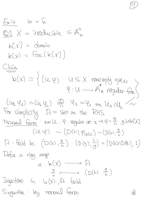| Ex.4                                                                                                                                                                                                                                                                                                                                                                                                                                                                                                                                                                                                                                                                                 | $k = L$                                                                          |         |
|--------------------------------------------------------------------------------------------------------------------------------------------------------------------------------------------------------------------------------------------------------------------------------------------------------------------------------------------------------------------------------------------------------------------------------------------------------------------------------------------------------------------------------------------------------------------------------------------------------------------------------------------------------------------------------------|----------------------------------------------------------------------------------|---------|
| Q1                                                                                                                                                                                                                                                                                                                                                                                                                                                                                                                                                                                                                                                                                   | $X = \text{irreducible}$                                                         | $A_n^M$ |
| $k[X] = \text{domain}$                                                                                                                                                                                                                                                                                                                                                                                                                                                                                                                                                                                                                                                               |                                                                                  |         |
| $k[X] = \text{frac}(k[X])$                                                                                                                                                                                                                                                                                                                                                                                                                                                                                                                                                                                                                                                           |                                                                                  |         |
| Clain                                                                                                                                                                                                                                                                                                                                                                                                                                                                                                                                                                                                                                                                                | $k(X) = \{(U, \phi) : U \subseteq X \text{ whenever } \phi\}$                    |         |
| $k(X) = \{(U, \phi) : U \subseteq X \text{ whenever } \phi\}$                                                                                                                                                                                                                                                                                                                                                                                                                                                                                                                                                                                                                        |                                                                                  |         |
| $(U_1, V_4) \sim (U_2, V_1)$                                                                                                                                                                                                                                                                                                                                                                                                                                                                                                                                                                                                                                                         | $W_1^M = V_2 \text{ or } U_1 \text{ or } U_2 \text{ for } X \text{ for } \phi\}$ |         |
| For simplicity $A = \text{set} \text{ or } U_1 \text{ and } X \Rightarrow V_1 = \frac{a}{b}$ , $g_1 \text{keV} \text{ or } U_1 \text{ or } U_2 \text{ for } \phi\}$                                                                                                                                                                                                                                                                                                                                                                                                                                                                                                                  |                                                                                  |         |
| Nonmod form: $\text{seU} \rightarrow (\text{D}_1^M) \text{ so } \text{seU} \rightarrow (\text{D}_2^M) \text{ or } \text{D}_3^M = (\text{D}_3^M) \text{ so } \text{D}_3^M = (\text{D}_3^M) \text{ so } \text{D}_3^M = (\text{D}_3^M) \text{ so } \text{D}_3^M = (\text{D}_3^M) \text{ so } \text{D}_3^M = (\text{D}_3^M) \text{ so } \text{D}_3^M = \text{F}_3^M = \text{F}_3^M = \text{F}_3^M = \text{F}_3^M = \text{F}_3^M = \text{F}_3^M = \text{F}_3^M = \text{F}_3^M = \text{F}_3^M = \text{F}_3^M = \text{F}_3^M = \text{F}_3^M = \text{F}_3^M = \text{F}_3^M = \text{F}_3^M = \text{F}_3^M = \text{F}_3^M = \text{F}_3^M = \text{F}_3^M = \text{F}_3^M = \text{F}_3^M = \text$ |                                                                                  |         |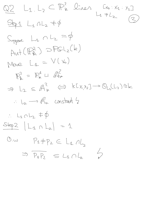$Q2 L_1 L_2 \subset \mathbb{P}^2$  lives  $Lx_{0}$  :  $x_{1}$  :  $x_{2}$  $L_{1}$   $\neq L_{2}$  $Step 1 L_1 AL_2 \neq \emptyset$ Suppose  $L_1 \cap L_2 = \varphi$  $Aut(\mathbb{R}_{k}^{2})$  OPGL2(k)  $\begin{array}{ccccc} & & & \mathrel{\mathsf{Loc}} & \mathrel{\mathsf{Loc}} & \mathrel{\mathsf{Loc}} & \mathrel{\mathsf{Loc}} & \mathrel{\mathsf{Loc}} \mathrel{\mathsf{Loc}} \end{array}$  $\mathbb{P}_{k}^{2} = \mathbb{P}_{k}^{4}$  4  $\mathbb{A}_{k}^{2}$  $\Rightarrow L_2 \subseteq A_{\kappa}^2 \iff kL_{X_1X_2} \longrightarrow \mathbb{O}_{L_2}(L_2) \cong k$  $\therefore$   $L_2 \longrightarrow \mathbb{A}^2$  constant 2  $L_1 \cap L_2 \neq \emptyset$  $Stop2 |L_{1} \cap L_{2}| = 1$  $\mathbb{O}$ ,  $\omega$  $P_1 \neq P_2 \in L_4$   $\wedge L_5$  $\overline{D}$  $\Rightarrow$   $P_4P_2 \subseteq L_4 \cap L_2$